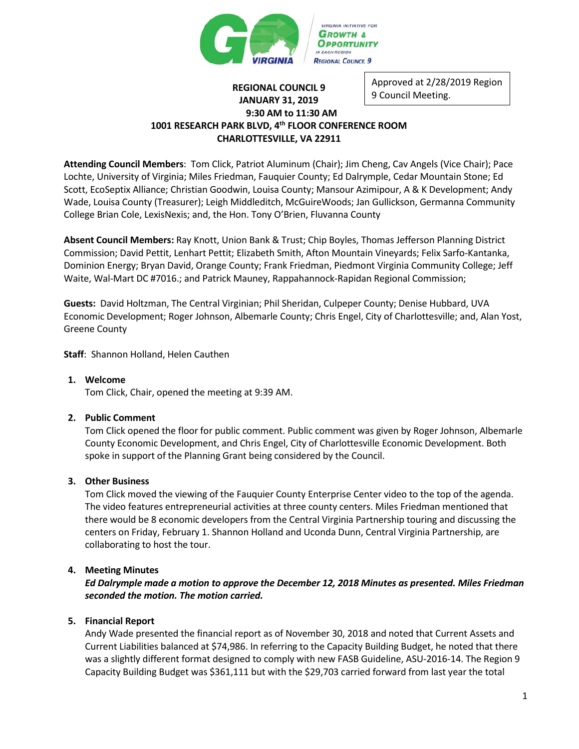

#### **REGIONAL COUNCIL 9 JANUARY 31, 2019 9:30 AM to 11:30 AM 1001 RESEARCH PARK BLVD, 4th FLOOR CONFERENCE ROOM CHARLOTTESVILLE, VA 22911** Approved at 2/28/2019 Region 9 Council Meeting.

**Attending Council Members**: Tom Click, Patriot Aluminum (Chair); Jim Cheng, Cav Angels (Vice Chair); Pace Lochte, University of Virginia; Miles Friedman, Fauquier County; Ed Dalrymple, Cedar Mountain Stone; Ed Scott, EcoSeptix Alliance; Christian Goodwin, Louisa County; Mansour Azimipour, A & K Development; Andy Wade, Louisa County (Treasurer); Leigh Middleditch, McGuireWoods; Jan Gullickson, Germanna Community College Brian Cole, LexisNexis; and, the Hon. Tony O'Brien, Fluvanna County

**Absent Council Members:** Ray Knott, Union Bank & Trust; Chip Boyles, Thomas Jefferson Planning District Commission; David Pettit, Lenhart Pettit; Elizabeth Smith, Afton Mountain Vineyards; Felix Sarfo-Kantanka, Dominion Energy; Bryan David, Orange County; Frank Friedman, Piedmont Virginia Community College; Jeff Waite, Wal-Mart DC #7016.; and Patrick Mauney, Rappahannock-Rapidan Regional Commission;

**Guests:** David Holtzman, The Central Virginian; Phil Sheridan, Culpeper County; Denise Hubbard, UVA Economic Development; Roger Johnson, Albemarle County; Chris Engel, City of Charlottesville; and, Alan Yost, Greene County

**Staff**: Shannon Holland, Helen Cauthen

# **1. Welcome**

Tom Click, Chair, opened the meeting at 9:39 AM.

# **2. Public Comment**

Tom Click opened the floor for public comment. Public comment was given by Roger Johnson, Albemarle County Economic Development, and Chris Engel, City of Charlottesville Economic Development. Both spoke in support of the Planning Grant being considered by the Council.

# **3. Other Business**

Tom Click moved the viewing of the Fauquier County Enterprise Center video to the top of the agenda. The video features entrepreneurial activities at three county centers. Miles Friedman mentioned that there would be 8 economic developers from the Central Virginia Partnership touring and discussing the centers on Friday, February 1. Shannon Holland and Uconda Dunn, Central Virginia Partnership, are collaborating to host the tour.

# **4. Meeting Minutes**

*Ed Dalrymple made a motion to approve the December 12, 2018 Minutes as presented. Miles Friedman seconded the motion. The motion carried.*

# **5. Financial Report**

Andy Wade presented the financial report as of November 30, 2018 and noted that Current Assets and Current Liabilities balanced at \$74,986. In referring to the Capacity Building Budget, he noted that there was a slightly different format designed to comply with new FASB Guideline, ASU-2016-14. The Region 9 Capacity Building Budget was \$361,111 but with the \$29,703 carried forward from last year the total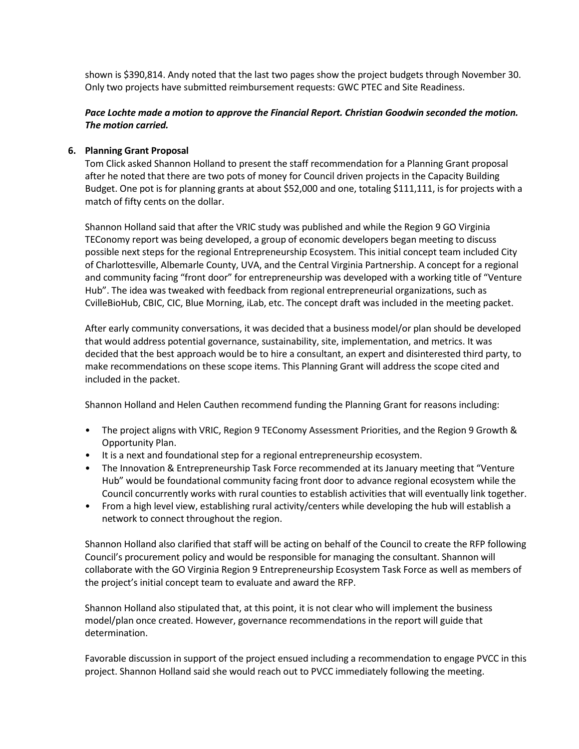shown is \$390,814. Andy noted that the last two pages show the project budgets through November 30. Only two projects have submitted reimbursement requests: GWC PTEC and Site Readiness.

# *Pace Lochte made a motion to approve the Financial Report. Christian Goodwin seconded the motion. The motion carried.*

# **6. Planning Grant Proposal**

Tom Click asked Shannon Holland to present the staff recommendation for a Planning Grant proposal after he noted that there are two pots of money for Council driven projects in the Capacity Building Budget. One pot is for planning grants at about \$52,000 and one, totaling \$111,111, is for projects with a match of fifty cents on the dollar.

Shannon Holland said that after the VRIC study was published and while the Region 9 GO Virginia TEConomy report was being developed, a group of economic developers began meeting to discuss possible next steps for the regional Entrepreneurship Ecosystem. This initial concept team included City of Charlottesville, Albemarle County, UVA, and the Central Virginia Partnership. A concept for a regional and community facing "front door" for entrepreneurship was developed with a working title of "Venture Hub". The idea was tweaked with feedback from regional entrepreneurial organizations, such as CvilleBioHub, CBIC, CIC, Blue Morning, iLab, etc. The concept draft was included in the meeting packet.

After early community conversations, it was decided that a business model/or plan should be developed that would address potential governance, sustainability, site, implementation, and metrics. It was decided that the best approach would be to hire a consultant, an expert and disinterested third party, to make recommendations on these scope items. This Planning Grant will address the scope cited and included in the packet.

Shannon Holland and Helen Cauthen recommend funding the Planning Grant for reasons including:

- The project aligns with VRIC, Region 9 TEConomy Assessment Priorities, and the Region 9 Growth & Opportunity Plan.
- It is a next and foundational step for a regional entrepreneurship ecosystem.
- The Innovation & Entrepreneurship Task Force recommended at its January meeting that "Venture Hub" would be foundational community facing front door to advance regional ecosystem while the Council concurrently works with rural counties to establish activities that will eventually link together.
- From a high level view, establishing rural activity/centers while developing the hub will establish a network to connect throughout the region.

Shannon Holland also clarified that staff will be acting on behalf of the Council to create the RFP following Council's procurement policy and would be responsible for managing the consultant. Shannon will collaborate with the GO Virginia Region 9 Entrepreneurship Ecosystem Task Force as well as members of the project's initial concept team to evaluate and award the RFP.

Shannon Holland also stipulated that, at this point, it is not clear who will implement the business model/plan once created. However, governance recommendations in the report will guide that determination.

Favorable discussion in support of the project ensued including a recommendation to engage PVCC in this project. Shannon Holland said she would reach out to PVCC immediately following the meeting.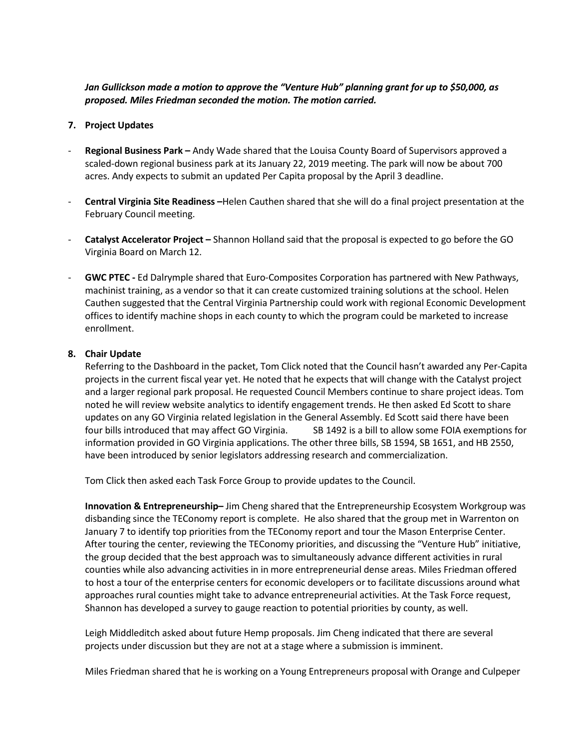# *Jan Gullickson made a motion to approve the "Venture Hub" planning grant for up to \$50,000, as proposed. Miles Friedman seconded the motion. The motion carried.*

# **7. Project Updates**

- **Regional Business Park –** Andy Wade shared that the Louisa County Board of Supervisors approved a scaled-down regional business park at its January 22, 2019 meeting. The park will now be about 700 acres. Andy expects to submit an updated Per Capita proposal by the April 3 deadline.
- **Central Virginia Site Readiness –**Helen Cauthen shared that she will do a final project presentation at the February Council meeting.
- **Catalyst Accelerator Project –** Shannon Holland said that the proposal is expected to go before the GO Virginia Board on March 12.
- **GWC PTEC -** Ed Dalrymple shared that Euro-Composites Corporation has partnered with New Pathways, machinist training, as a vendor so that it can create customized training solutions at the school. Helen Cauthen suggested that the Central Virginia Partnership could work with regional Economic Development offices to identify machine shops in each county to which the program could be marketed to increase enrollment.

## **8. Chair Update**

Referring to the Dashboard in the packet, Tom Click noted that the Council hasn't awarded any Per-Capita projects in the current fiscal year yet. He noted that he expects that will change with the Catalyst project and a larger regional park proposal. He requested Council Members continue to share project ideas. Tom noted he will review website analytics to identify engagement trends. He then asked Ed Scott to share updates on any GO Virginia related legislation in the General Assembly. Ed Scott said there have been four bills introduced that may affect GO Virginia. SB 1492 is a bill to allow some FOIA exemptions for information provided in GO Virginia applications. The other three bills, SB 1594, SB 1651, and HB 2550, have been introduced by senior legislators addressing research and commercialization.

Tom Click then asked each Task Force Group to provide updates to the Council.

**Innovation & Entrepreneurship–** Jim Cheng shared that the Entrepreneurship Ecosystem Workgroup was disbanding since the TEConomy report is complete. He also shared that the group met in Warrenton on January 7 to identify top priorities from the TEConomy report and tour the Mason Enterprise Center. After touring the center, reviewing the TEConomy priorities, and discussing the "Venture Hub" initiative, the group decided that the best approach was to simultaneously advance different activities in rural counties while also advancing activities in in more entrepreneurial dense areas. Miles Friedman offered to host a tour of the enterprise centers for economic developers or to facilitate discussions around what approaches rural counties might take to advance entrepreneurial activities. At the Task Force request, Shannon has developed a survey to gauge reaction to potential priorities by county, as well.

Leigh Middleditch asked about future Hemp proposals. Jim Cheng indicated that there are several projects under discussion but they are not at a stage where a submission is imminent.

Miles Friedman shared that he is working on a Young Entrepreneurs proposal with Orange and Culpeper